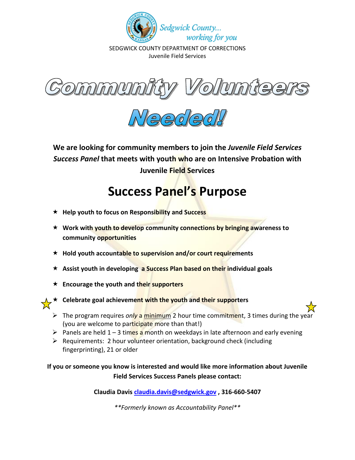

SEDGWICK COUNTY DEPARTMENT OF CORRECTIONS Juvenile Field Services





**We are looking for community members to join the** *Juvenile Field Services Success Panel* **that meets with youth who are on Intensive Probation with Juvenile Field Services** 

## **Success Panel's Purpose**

- **Help youth to focus on Responsibility and Success**
- **Work with youth to develop community connections by bringing awareness to community opportunities**
- **Hold youth accountable to supervision and/or court requirements**
- **Assist youth in developing a Success Plan based on their individual goals**
- **Encourage the youth and their supporters**



- **Celebrate goal achievement with the youth and their supporters** 
	- The program requires *only* a minimum 2 hour time commitment, 3 times during the year (you are welcome to participate more than that!)
	- Panels are held  $1 3$  times a month on weekdays in late afternoon and early evening
	- $\triangleright$  Requirements: 2 hour volunteer orientation, background check (including fingerprinting), 21 or older

**If you or someone you know is interested and would like more information about Juvenile Field Services Success Panels please contact:** 

**Claudia Davis [claudia.davis@sedgwick.gov](mailto:claudia.davis@sedgwick.gov) , 316-660-5407**

*\*\*Formerly known as Accountability Panel\*\**